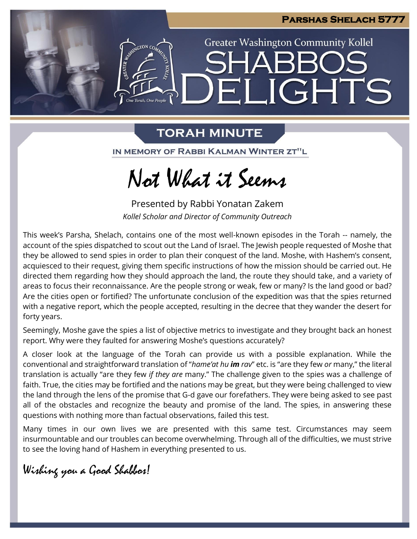

LIGHTS

**Greater Washington Community Kollel** 

### **TORAH MINUTE**

FI

**ASSESSMENTON CO.** 

One Torah. One People

IN MEMORY OF RABBI KALMAN WINTER ZT"L

# Not What it Seems

Presented by Rabbi Yonatan Zakem *Kollel Scholar and Director of Community Outreach*

This week's Parsha, Shelach, contains one of the most well-known episodes in the Torah -- namely, the account of the spies dispatched to scout out the Land of Israel. The Jewish people requested of Moshe that they be allowed to send spies in order to plan their conquest of the land. Moshe, with Hashem's consent, acquiesced to their request, giving them specific instructions of how the mission should be carried out. He directed them regarding how they should approach the land, the route they should take, and a variety of areas to focus their reconnaissance. Are the people strong or weak, few or many? Is the land good or bad? Are the cities open or fortified? The unfortunate conclusion of the expedition was that the spies returned with a negative report, which the people accepted, resulting in the decree that they wander the desert for forty years.

Seemingly, Moshe gave the spies a list of objective metrics to investigate and they brought back an honest report. Why were they faulted for answering Moshe's questions accurately?

A closer look at the language of the Torah can provide us with a possible explanation. While the conventional and straightforward translation of "*hame'at hu im rav*" etc. is "are they few *or* many," the literal translation is actually "are they few *if they are* many." The challenge given to the spies was a challenge of faith. True, the cities may be fortified and the nations may be great, but they were being challenged to view the land through the lens of the promise that G-d gave our forefathers. They were being asked to see past all of the obstacles and recognize the beauty and promise of the land. The spies, in answering these questions with nothing more than factual observations, failed this test.

Many times in our own lives we are presented with this same test. Circumstances may seem insurmountable and our troubles can become overwhelming. Through all of the difficulties, we must strive to see the loving hand of Hashem in everything presented to us.

Wishing you a Good Shabbos!